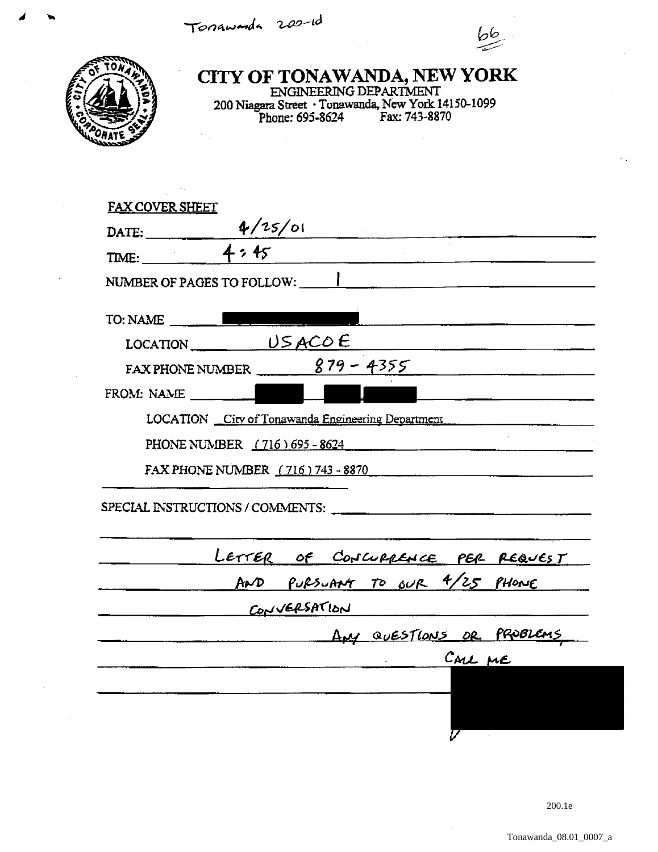Tonawarda 200-id



CITY OF TONAWANDA, NEW YORK<br>ENGINEERING DEPARTMENT<br>200 Niagara Street · Tonawanda, New York 14150-1099<br>Phone: 695-8624 Fax: 743-8870

| <b>FAX COVER SHEET</b>                                                             |
|------------------------------------------------------------------------------------|
|                                                                                    |
| DATE: $\frac{4/25/01}{4.25}$<br><u> 1980 - John Stein, Amerikaansk politiker (</u> |
| NUMBER OF PAGES TO FOLLOW: NUMBER OF PAGES TO FOLLOW:                              |
| TO: NAME                                                                           |
|                                                                                    |
| FAX PHONE NUMBER $\frac{879 - 4355}{\sqrt{610}}$                                   |
| FROM: NAME<br>L                                                                    |
| LOCATION City of Tonawanda Engineering Department                                  |
|                                                                                    |
| PHONE NUMBER (716) 695 - 8624                                                      |
| FAX PHONE NUMBER (716) 743 - 8870                                                  |
| SPECIAL INSTRUCTIONS / COMMENTS:                                                   |
|                                                                                    |
| LETTER OF CONCURRENCE PER REQUEST                                                  |
| AND PURSUANT TO OUR 4/25 PHONE                                                     |
| CONVERSATION                                                                       |
| AM QUESTIONS OR PROBLEMS                                                           |
| CALL ME                                                                            |
|                                                                                    |
|                                                                                    |
|                                                                                    |